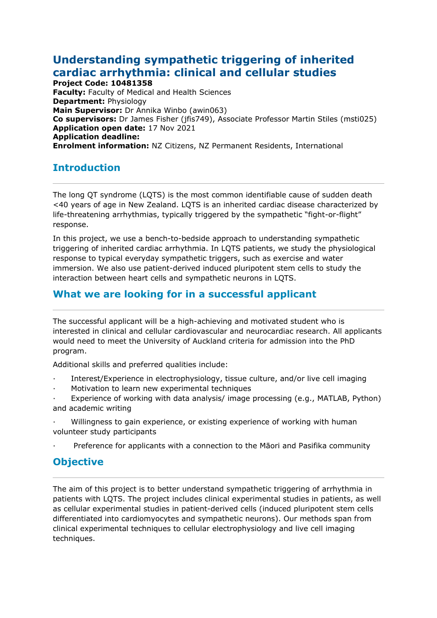# **Understanding sympathetic triggering of inherited cardiac arrhythmia: clinical and cellular studies**

**Project Code: 10481358 Faculty:** Faculty of Medical and Health Sciences **Department:** Physiology **Main Supervisor:** Dr Annika Winbo (awin063) **Co supervisors:** Dr James Fisher (jfis749), Associate Professor Martin Stiles (msti025) **Application open date:** 17 Nov 2021 **Application deadline: Enrolment information:** NZ Citizens, NZ Permanent Residents, International

## **Introduction**

The long QT syndrome (LQTS) is the most common identifiable cause of sudden death <40 years of age in New Zealand. LQTS is an inherited cardiac disease characterized by life-threatening arrhythmias, typically triggered by the sympathetic "fight-or-flight" response.

In this project, we use a bench-to-bedside approach to understanding sympathetic triggering of inherited cardiac arrhythmia. In LQTS patients, we study the physiological response to typical everyday sympathetic triggers, such as exercise and water immersion. We also use patient-derived induced pluripotent stem cells to study the interaction between heart cells and sympathetic neurons in LQTS.

### **What we are looking for in a successful applicant**

The successful applicant will be a high-achieving and motivated student who is interested in clinical and cellular cardiovascular and neurocardiac research. All applicants would need to meet the University of Auckland criteria for admission into the PhD program.

Additional skills and preferred qualities include:

- · Interest/Experience in electrophysiology, tissue culture, and/or live cell imaging
- Motivation to learn new experimental techniques
- Experience of working with data analysis/ image processing (e.g., MATLAB, Python) and academic writing
- · Willingness to gain experience, or existing experience of working with human volunteer study participants
- · Preference for applicants with a connection to the Māori and Pasifika community

### **Objective**

The aim of this project is to better understand sympathetic triggering of arrhythmia in patients with LQTS. The project includes clinical experimental studies in patients, as well as cellular experimental studies in patient-derived cells (induced pluripotent stem cells differentiated into cardiomyocytes and sympathetic neurons). Our methods span from clinical experimental techniques to cellular electrophysiology and live cell imaging techniques.